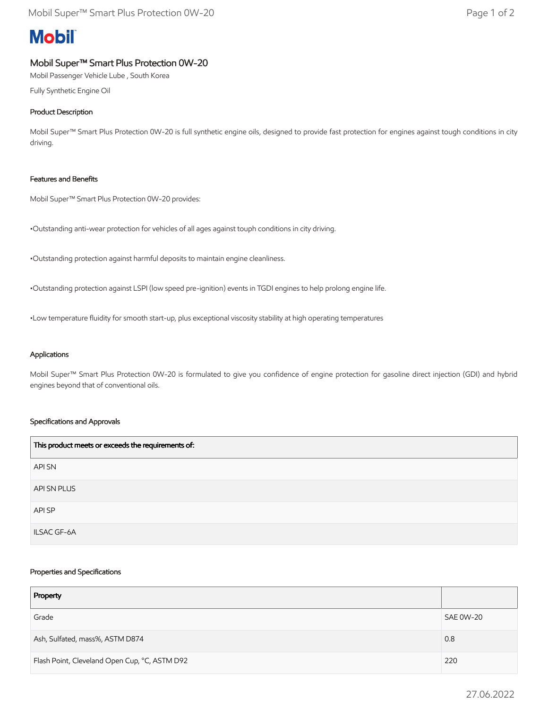# **Mobil**

## Mobil Super™ Smart Plus Protection 0W-20

Mobil Passenger Vehicle Lube , South Korea

Fully Synthetic Engine Oil

### Product Description

Mobil Super™ Smart Plus Protection 0W-20 is full synthetic engine oils, designed to provide fast protection for engines against tough conditions in city driving.

#### Features and Benefits

Mobil Super™ Smart Plus Protection 0W-20 provides:

•Outstanding anti-wear protection for vehicles of all ages against touph conditions in city driving.

•Outstanding protection against harmful deposits to maintain engine cleanliness.

•Outstanding protection against LSPI (low speed pre-ignition) events in TGDI engines to help prolong engine life.

•Low temperature fluidity for smooth start-up, plus exceptional viscosity stability at high operating temperatures

#### Applications

Mobil Super™ Smart Plus Protection 0W-20 is formulated to give you confidence of engine protection for gasoline direct injection (GDI) and hybrid engines beyond that of conventional oils.

#### Specifications and Approvals

| This product meets or exceeds the requirements of: |
|----------------------------------------------------|
| API SN                                             |
| API SN PLUS                                        |
| API SP                                             |
| <b>ILSAC GF-6A</b>                                 |

#### Properties and Specifications

| Property                                      |           |
|-----------------------------------------------|-----------|
| Grade                                         | SAE 0W-20 |
| Ash, Sulfated, mass%, ASTM D874               | 0.8       |
| Flash Point, Cleveland Open Cup, °C, ASTM D92 | 220       |